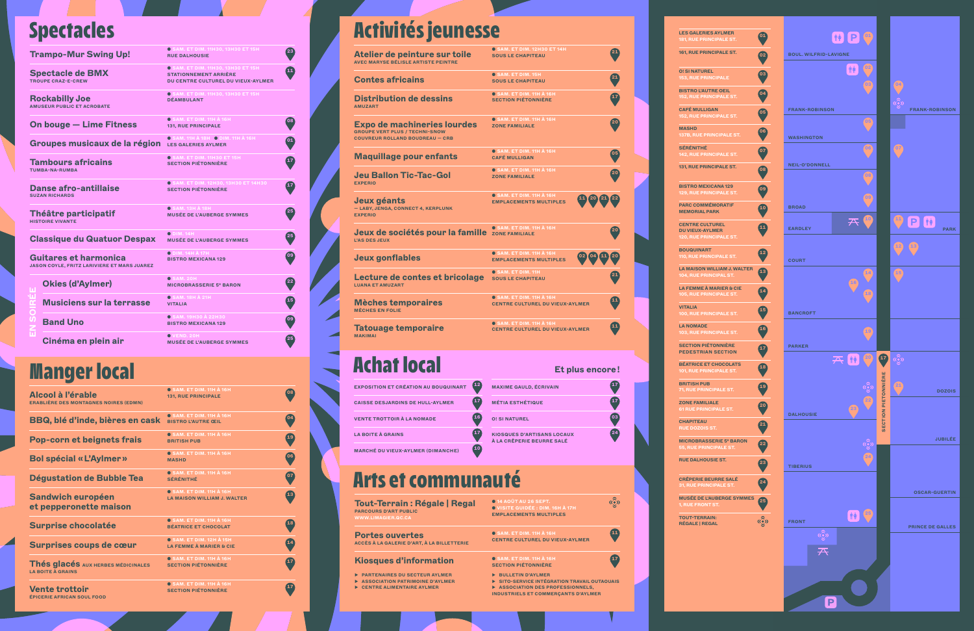**O! SI NATUREL**

**BISTRO L'AUTRE** 

**CAFÉ MULLIGAN** 

**131, RUE PRINCI** 

**BISTRO MEXICA** 

**PARC COMMÉM MEMORIAL PAR CENTRE CULTU DU VIEUX-AYLM** 

**BOUQUINART 0. RUE PR LA MAISON WILL 14. RUE PR LA FEMME À MA** 

**MASHD 137B, RUE PRINCIPALE ST. SÉRÉNITHÉ**

**VITALIA** 00, RUE PR **LA NOMADE 03, RUE PI SECTION PIÉTO PEDESTRIANS BÉATRICE ET CH** 

**BRITISH PUB** 1, RUE PI **ZONE FAMILIALE** 

**RUE DOZOIS ST. MICROBRASSER** 

**RUE DALHOUSIE** 

**CRÊPERIE BEUR RUE PR** 

**CHAPITEAU** 

**TOUT-TERRAIN: RÉGALE | REGAL**

#### **● SAM. ET DIM. 11H À 16H<br>SECTION PIÉTONNIÈRE**

| <b>LES GALERIES AYLMER</b><br><b>181, RUE PRINCIPALE ST.</b>                       | 01 |
|------------------------------------------------------------------------------------|----|
| 161, RUE PRINCIPALE ST.                                                            |    |
| <b>O! SI NATUREL</b><br><b>153, RUE PRINCIPALE</b>                                 | 03 |
| <b>BISTRO L'AUTRE OEIL</b><br><b>152, RUE PRINCIPALE ST.</b>                       |    |
| <b>CAFÉ MULLIGAN</b><br><b>152, RUE PRINCIPALE ST.</b>                             |    |
| <b>MASHD</b><br><b>137B. RUE PRINCIPALE ST.</b>                                    |    |
| SÉRÉNITHÉ<br><b>142, RUE PRINCIPALE ST.</b>                                        |    |
| 131, RUE PRINCIPALE ST.                                                            |    |
| <b>BISTRO MEXICANA 129</b><br><b>129, RUE PRINCIPALE ST.</b>                       |    |
| <b>PARC COMMÉMORATIF</b><br><b>MEMORIAL PARK</b>                                   |    |
| <b>CENTRE CULTUREL</b><br><b>DU VIEUX-AYLMER</b><br><b>120, RUE PRINCIPALE ST.</b> | 11 |
| <b>BOUQUINART</b><br><b>110, RUE PRINCIPALE ST.</b>                                | 12 |
| <b>LA MAISON WILLIAM J. WALTER</b><br><b>104, RUE PRINCIPAL ST.</b>                |    |
| LA FEMME À MARIER & CIE<br><b>105, RUE PRINCIPALE ST.</b>                          |    |
| <b>VITALIA</b><br><b>100, RUE PRINCIPALE ST.</b>                                   |    |
| <b>LA NOMADE</b><br>103, RUE PRINCIPALE ST.                                        |    |
| <b>SECTION PIÉTONNIÈRE</b><br><b>PEDESTRIAN SECTION</b>                            |    |
| <b>BÉATRICE ET CHOCOLATS</b><br>101, RUE PRINCIPALE ST.                            |    |
| <b>BRITISH PUB</b><br><b>71, RUE PRINCIPALE ST.</b>                                |    |
| <b>ZONE FAMILIALE</b><br><b>61 RUE PRINCIPALE ST.</b>                              |    |
| <b>CHAPITEAU</b><br><b>RUE DOZOIS ST.</b>                                          |    |
| <b>MICROBRASSERIE 5° BARON</b><br><b>55, RUE PRINCIPALE ST.</b>                    |    |
| <b>RUE DALHOUSIE ST.</b>                                                           |    |
| <b>CRÊPERIE BEURRE SALÉ</b><br><b>31, RUE PRINCIPALE ST.</b>                       |    |
| <b>MUSÉE DE L'AUBERGE SYMMES</b><br><b>1, RUE FRONT ST.</b>                        |    |
| <b>TOUT-TERRAIN:</b><br><b>RÉGALE   REGAL</b>                                      |    |

| <b>Trampo-Mur Swing Up!</b>                   |                                                                                    | <b>O SAM. ET DIM. 11H30, 13H30 ET 15H</b><br><b>RUE DALHOUSIE</b>                                               | 23              |
|-----------------------------------------------|------------------------------------------------------------------------------------|-----------------------------------------------------------------------------------------------------------------|-----------------|
| <b>Spectacle de BMX</b><br>TROUPF CRAZ-F-CREW |                                                                                    | <b>O SAM. ET DIM. 11H30, 13H30 ET 15H</b><br><b>STATIONNEMENT ARRIÈRE</b><br>DU CENTRE CULTUREL DU VIEUX-AYLMER |                 |
|                                               | <b>Rockabilly Joe</b><br><b>AMUSEUR PUBLIC ET ACROBATE</b>                         | <b>O SAM. ET DIM. 11H30, 13H30 ET 15H</b><br><b><i>DÉAMBULANT</i></b>                                           |                 |
| <b>On bouge - Lime Fitness</b>                |                                                                                    | O SAM. ET DIM. 11H À 16H<br><b>131, RUE PRINCIPALE</b>                                                          | 08              |
|                                               | Groupes musicaux de la région                                                      | O SAM. 11H À 18H O DIM. 11H À 16H<br><b>LES GALERIES AYLMER</b>                                                 | $\overline{01}$ |
|                                               | <b>Tambours africains</b><br>TUMBA-NA-RUMBA                                        | <b>O SAM. ET DIM. 11H30 ET 15H</b><br><b>SECTION PIÉTONNIÈRE</b>                                                |                 |
|                                               | <b>Danse afro-antillaise</b><br><b>SUZAN RICHARDS</b>                              | <b>O SAM. ET DIM. 12H30, 13H30 ET 14H30</b><br><b>SECTION PIÉTONNIÈRE</b>                                       | 17              |
|                                               | <b>Théâtre participatif</b><br><b>HISTOIRE VIVANTE</b>                             | <b>O SAM. 13H À 18H</b><br><b>MUSÉE DE L'AUBERGE SYMMES</b>                                                     | 25              |
|                                               | <b>Classique du Quatuor Despax</b>                                                 | $O$ DIM. 14H<br><b>MUSÉE DE L'AUBERGE SYMMES</b>                                                                | 25              |
|                                               | <b>Guitares et harmonica</b><br><b>JASON COYLE, FRITZ LARIVIERE ET MARS JUAREZ</b> | $\bullet$ DIM. 14H $\AA$ 17H<br><b>BISTRO MEXICANA 129</b>                                                      | 09              |
|                                               | <b>Okies (d'Aylmer)</b>                                                            | $O$ SAM, 20H<br><b>MICROBRASSERIE 5° BARON</b>                                                                  | $22$            |
|                                               | <b>Musiciens sur la terrasse</b>                                                   | $\bullet$ SAM. 18H $\grave{\text{A}}$ 21H<br><b>VITALIA</b>                                                     | 15              |
|                                               | <b>Band Uno</b>                                                                    | <b>O SAM. 19H30 À 22H30</b><br><b>BISTRO MEXICANA 129</b>                                                       | 09              |
|                                               | Cinéma en plein air                                                                | $O$ VEND, 20H<br><b>MUSÉE DE L'AUBERGE SYMMES</b>                                                               | 25              |

**Kiosques d'information ▶ PARTENAIRES DU SECTEUR AYLMER ▶ ASSOCIATION PATRIMOINE D'AYLMER ▶ CENTRE ALIMENTAIRE AYLMER**

| Alcool à l'érable<br><b>ERABLIÈRE DES MONTAGNES NOIRES (EDMN)</b> | $O$ SAM. ET DIM. 11H $\AA$ 16H<br><b>131, RUE PRINCIPALE</b>          | 08              |
|-------------------------------------------------------------------|-----------------------------------------------------------------------|-----------------|
| <b>BBQ, blé d'inde, bières en cask</b>                            | <b>O SAM. ET DIM. 11H À 16H</b><br><b>BISTRO L'AUTRE CEIL</b>         | 04              |
| <b>Pop-corn et beignets frais</b>                                 | $\bullet$ SAM. ET DIM. 11H $\AA$ 16H<br><b>BRITISH PUB</b>            | 19              |
| <b>Bol spécial « L'Aylmer »</b>                                   | <b>O SAM. ET DIM. 11H À 16H</b><br><b>MASHD</b>                       | 06              |
| <b>Dégustation de Bubble Tea</b>                                  | <b>O SAM. ET DIM. 11H À 16H</b><br>SÉRÉNITHÉ                          | $\overline{07}$ |
| <b>Sandwich européen</b><br>et pepperonette maison                | <b>O SAM. ET DIM. 11H À 16H</b><br><b>LA MAISON WILLIAM J. WALTER</b> | 13              |
| <b>Surprise chocolatée</b>                                        | <b>O SAM. ET DIM. 11H À 16H</b><br><b>BÉATRICE ET CHOCOLAT</b>        | 18              |
| Surprises coups de cœur                                           | <b>O SAM. ET DIM. 12H À 15H</b><br><b>LA FEMME À MARIER &amp; CIE</b> |                 |
| Thés glacés AUX HERBES MÉDICINALES<br><b>LA BOITE À GRAINS</b>    | $\bullet$ SAM. ET DIM. 11H $\AA$ 16H<br><b>SECTION PIÉTONNIÈRE</b>    |                 |
| <b>Vente trottoir</b><br><b>ÉPICERIE AFRICAN SOUL FOOD</b>        | <b>O SAM. ET DIM. 11H À 16H</b><br><b>SECTION PIÉTONNIÈRE</b>         |                 |

## Activités jeunesse

## Manger local

◢

### Spectacles

### Achat local

### Arts et communauté

| <b>EXPOSITION ET CRÉATION AU BOUQUINART</b> | 12  | <b>MAXIME GAULD, ÉCRIVAIN</b>                                  | 17  |
|---------------------------------------------|-----|----------------------------------------------------------------|-----|
| <b>CAISSE DESJARDINS DE HULL-AYLMER</b>     | '17 | <b>MÉTIA ESTHÉTIQUE</b>                                        | ั17 |
| <b>VENTE TROTTOIR À LA NOMADE</b>           |     | <b>O! SI NATUREL</b>                                           | 'оз |
| <b>LA BOITE À GRAINS</b>                    |     | <b>KIOSQUES D'ARTISANS LOCAUX</b><br>À LA CRÊPERIE BEURRE SALÉ | 24  |
| <b>MARCHÉ DU VIEUX-AYLMER (DIMANCHE)</b>    |     |                                                                |     |

| 23                  | Atelier de peinture sur toile<br><b>AVEC MARYSE BÉLISLE ARTISTE PEINTRE</b>                                           | <b>O SAM. ET DIM. 12H30 ET 14H</b><br><b>SOUS LE CHAPITEAU</b>                             | $\mathbf{21}$     |
|---------------------|-----------------------------------------------------------------------------------------------------------------------|--------------------------------------------------------------------------------------------|-------------------|
| 11                  | <b>Contes africains</b>                                                                                               | <b>O SAM. ET DIM. 15H</b><br><b>SOUS LE CHAPITEAU</b>                                      | $\boxed{21}$      |
|                     | <b>Distribution de dessins</b><br><b>AMUZART</b>                                                                      | <b>O SAM. ET DIM. 11H À 16H</b><br><b>SECTION PIÉTONNIÈRE</b>                              |                   |
| 08<br>01            | <b>Expo de machineries lourdes</b><br><b>GROUPE VERT PLUS / TECHNI-SNOW</b><br><b>COUVREUR ROLLAND BOUDREAU - CRB</b> | <b>O SAM. ET DIM. 11H À 16H</b><br><b>ZONE FAMILIALE</b>                                   | $20^{\circ}$      |
| $\frac{17}{1}$      | <b>Maquillage pour enfants</b>                                                                                        | <b>O SAM. ET DIM. 11H À 16H</b><br><b>CAFÉ MULLIGAN</b>                                    | 05                |
| 17 <sup>2</sup>     | <b>Jeu Ballon Tic-Tac-Gol</b><br><b>EXPERIO</b>                                                                       | <b>O SAM. ET DIM. 11H À 16H</b><br><b>ZONE FAMILIALE</b>                                   | 20                |
| $25^{\circ}$        | Jeux géants<br>- LABY, JENGA, CONNECT 4, KERPLUNK<br><b>FXPERIO</b>                                                   | <b>O SAM. ET DIM. 11H À 16H</b><br>$(11)$ $(20)$ $(21)$<br><b>EMPLACEMENTS MULTIPLES</b>   |                   |
| 25                  | Jeux de sociétés pour la famille ZONE FAMILIALE<br><b>I'AS DES JEUX</b>                                               | <b>O SAM. ET DIM. 11H À 16H</b>                                                            | $20^{\circ}$      |
| 09                  | <b>Jeux gonflables</b>                                                                                                | <b>O SAM. ET DIM. 11H À 16H</b><br><b>EMPLACEMENTS MULTIPLES</b>                           |                   |
| $22^{^{\circ}}$     | Lecture de contes et bricolage sous LE CHAPITEAU<br><b>LUANA ET AMUZART</b>                                           | <b>O SAM. ET DIM. 11H</b>                                                                  |                   |
| 15)                 | <b>Mèches temporaires</b><br><b>MÈCHES EN FOLIE</b>                                                                   | $O$ SAM. ET DIM. 11H $\AA$ 16H<br><b>CENTRE CULTUREL DU VIEUX-AYLMER</b>                   |                   |
| 09)<br>$25^{\circ}$ | <b>Tatouage temporaire</b><br><b>MAKIMAI</b>                                                                          | <b>G SAM. ET DIM. 11H À 16H</b><br><b>CENTRE CULTUREL DU VIEUX-AYLMER</b>                  | $\mathbf{11}$     |
|                     | <b>Achat local</b>                                                                                                    | Et plus encore!                                                                            |                   |
| 80                  | 【12】<br><b>EXPOSITION ET CRÉATION AU BOUQUINART</b>                                                                   | <b>MAXIME GAULD, ÉCRIVAIN</b>                                                              |                   |
|                     | <b>CAISSE DESJARDINS DE HULL-AYLMER</b>                                                                               | <b>MÉTIA ESTHÉTIQUE</b>                                                                    | 17                |
| $\overline{0}$ 4    | (16)<br><b>VENTE TROTTOIR À LA NOMADE</b>                                                                             | <b>O! SI NATUREL</b>                                                                       | 03                |
| 19<br>V             | 17<br><b>LA BOITE À GRAINS</b>                                                                                        | <b>KIOSQUES D'ARTISANS LOCAUX</b><br>À LA CRÊPERIE BEURRE SALÉ                             |                   |
| 06                  | (10)<br><b>MARCHÉ DU VIEUX-AYLMER (DIMANCHE)</b>                                                                      |                                                                                            |                   |
| $\overline{07}$     | <b>Arts et communauté</b>                                                                                             |                                                                                            |                   |
| 13<br>V             | <b>Tout-Terrain: Régale   Regal</b><br><b>PARCOURS D'ART PUBLIC</b><br>WWW.LIMAGIER.QC.CA                             | O 14 AOÛT AU 26 SEPT.<br>O VISITE GUIDÉE : DIM. 16H À 17H<br><b>EMPLACEMENTS MULTIPLES</b> | @ော               |
| 18<br>V<br>14       | <b>Portes ouvertes</b><br>ACCÈS À LA GALERIE D'ART, À LA BILLETTERIE                                                  | $\bullet$ SAM. ET DIM. 11H $\AA$ 16H<br><b>CENTRE CULTUREL DU VIEUX-AYLMER</b>             | (11)              |
| $\mathbf{r}$        | <b>Kiosques d'information</b>                                                                                         | $\bullet$ SAM. ET DIM. 11H $\AA$ 16H<br><b>SECTION PIÉTONNIÈRE</b>                         | $\left(17\right)$ |

**▶ BULLETIN D'AYLMER**

- **▶ SITO-SERVICE INTÉGRATION TRAVAIL OUTAOUAIS**
- **▶ ASSOCIATION DES PROFESSIONNELS,**
- **INDUSTRIELS ET COMMERÇANTS D'AYLMER**